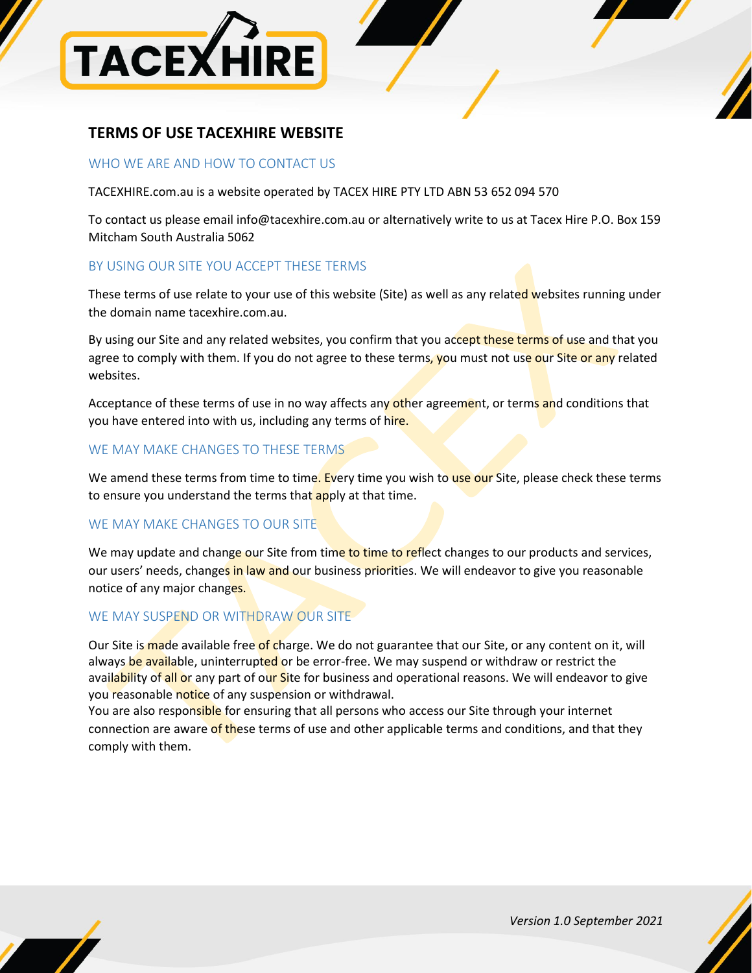

# **TERMS OF USE TACEXHIRE WEBSITE**

### WHO WE ARE AND HOW TO CONTACT US

TACEXHIRE.com.au is a website operated by TACEX HIRE PTY LTD ABN 53 652 094 570

To contact us please emai[l info@tacexhire.com.au](mailto:info@tacexhire.com.au) or alternatively write to us at Tacex Hire P.O. Box 159 Mitcham South Australia 5062

# BY USING OUR SITE YOU ACCEPT THESE TERMS

These terms of use relate to your use of this website (Site) as well as any related websites running under the domain name tacexhire.com.au.

By using our Site and any related websites, you confirm that you accept these terms of use and that you agree to comply with them. If you do not agree to these terms, you must not use our Site or any related websites.

Acceptance of these terms of use in no way affects any other agreement, or terms and conditions that you have entered into with us, including any terms of hire.

# WE MAY MAKE CHANGES TO THESE TERMS

We amend these terms from time to time. Every time you wish to use our Site, please check these terms to ensure you understand the terms that apply at that time.

# WE MAY MAKE CHANGES TO OUR SITE

We may update and change our Site from time to time to reflect changes to our products and services, our users' needs, changes in law and our business priorities. We will endeavor to give you reasonable notice of any major changes.

## WE MAY SUSPEND OR WITHDRAW OUR SITE

Our Site is made available free of charge. We do not guarantee that our Site, or any content on it, will always be available, uninterrupted or be error-free. We may suspend or withdraw or restrict the availability of all or any part of our Site for business and operational reasons. We will endeavor to give you reasonable notice of any suspension or withdrawal.

You are also responsible for ensuring that all persons who access our Site through your internet connection are aware of these terms of use and other applicable terms and conditions, and that they comply with them.

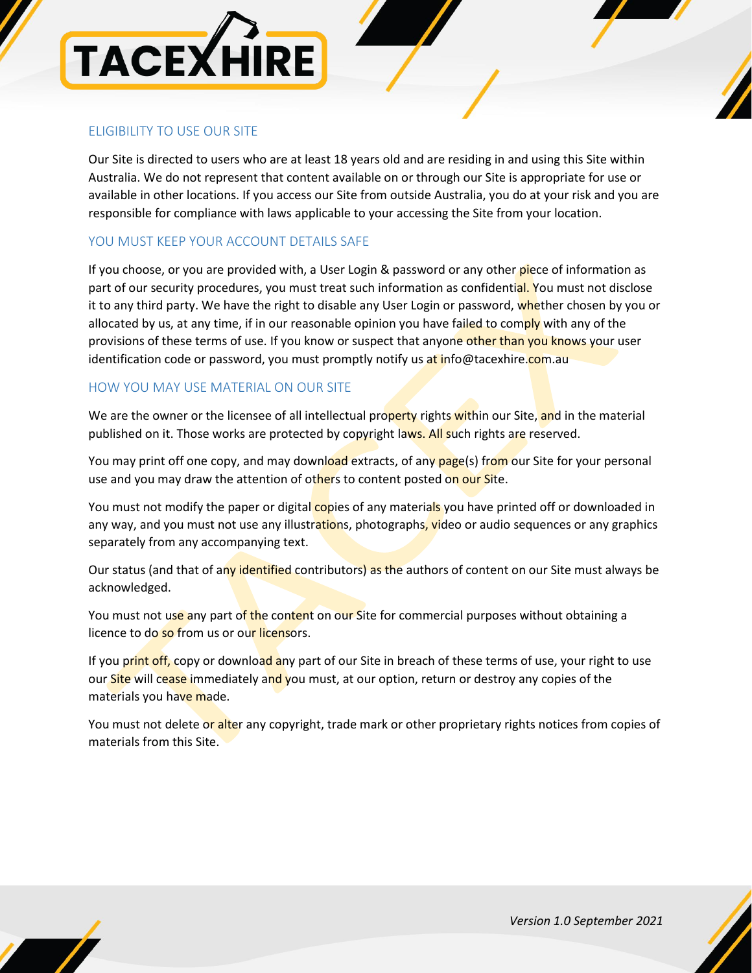

# ELIGIBILITY TO USE OUR SITE

Our Site is directed to users who are at least 18 years old and are residing in and using this Site within Australia. We do not represent that content available on or through our Site is appropriate for use or available in other locations. If you access our Site from outside Australia, you do at your risk and you are responsible for compliance with laws applicable to your accessing the Site from your location.

## YOU MUST KEEP YOUR ACCOUNT DETAILS SAFE

If you choose, or you are provided with, a User Login & password or any other piece of information as part of our security procedures, you must treat such information as confidential. You must not disclose it to any third party. We have the right to disable any User Login or password, whether chosen by you or allocated by us, at any time, if in our reasonable opinion you have failed to comply with any of the provisions of these terms of use. If you know or suspect that anyone other than you knows your user identification code or password, you must promptly notify us at [info@tacexhire.com.au](mailto:info@tacexhire.com.au)

## HOW YOU MAY USE MATERIAL ON OUR SITE

We are the owner or the licensee of all intellectual property rights within our Site, and in the material published on it. Those works are protected by copyright laws. All such rights are reserved.

You may print off one copy, and may download extracts, of any page(s) from our Site for your personal use and you may draw the attention of others to content posted on our Site.

You must not modify the paper or digital copies of any materials you have printed off or downloaded in any way, and you must not use any illustrations, photographs, video or audio sequences or any graphics separately from any accompanying text.

Our status (and that of any identified contributors) as the authors of content on our Site must always be acknowledged.

You must not use any part of the content on our Site for commercial purposes without obtaining a licence to do so from us or our licensors.

If you print off, copy or download any part of our Site in breach of these terms of use, your right to use our Site will cease immediately and you must, at our option, return or destroy any copies of the materials you have made.

You must not delete or alter any copyright, trade mark or other proprietary rights notices from copies of materials from this Site.

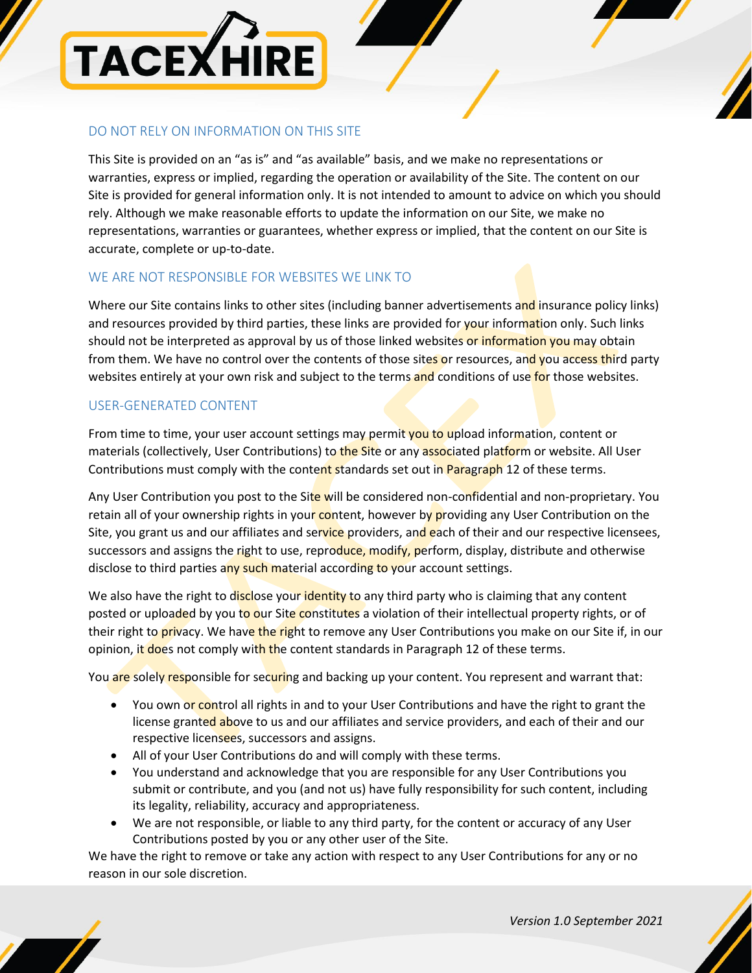

# DO NOT RELY ON INFORMATION ON THIS SITE

This Site is provided on an "as is" and "as available" basis, and we make no representations or warranties, express or implied, regarding the operation or availability of the Site. The content on our Site is provided for general information only. It is not intended to amount to advice on which you should rely. Although we make reasonable efforts to update the information on our Site, we make no representations, warranties or guarantees, whether express or implied, that the content on our Site is accurate, complete or up-to-date.

## WE ARE NOT RESPONSIBLE FOR WEBSITES WE LINK TO

Where our Site contains links to other sites (including banner advertisements and insurance policy links) and resources provided by third parties, these links are provided for your information only. Such links should not be interpreted as approval by us of those linked websites or information you may obtain from them. We have no control over the contents of those sites or resources, and you access third party websites entirely at your own risk and subject to the terms and conditions of use for those websites.

## USER-GENERATED CONTENT

From time to time, your user account settings may permit you to upload information, content or materials (collectively, User Contributions) to the Site or any associated platform or website. All User Contributions must comply with the content standards set out in Paragraph 12 of these terms.

Any User Contribution you post to the Site will be considered non-confidential and non-proprietary. You retain all of your ownership rights in your content, however by providing any User Contribution on the Site, you grant us and our affiliates and service providers, and each of their and our respective licensees, successors and assigns the right to use, reproduce, modify, perform, display, distribute and otherwise disclose to third parties any such material according to your account settings.

We also have the right to disclose your identity to any third party who is claiming that any content posted or uploaded by you to our Site constitutes a violation of their intellectual property rights, or of their right to **privacy.** We have the right to remove any User Contributions you make on our Site if, in our opinion, it does not comply with the content standards in Paragraph 12 of these terms.

You are solely responsible for securing and backing up your content. You represent and warrant that:

- You own or control all rights in and to your User Contributions and have the right to grant the license granted above to us and our affiliates and service providers, and each of their and our respective licensees, successors and assigns.
- All of your User Contributions do and will comply with these terms.
- You understand and acknowledge that you are responsible for any User Contributions you submit or contribute, and you (and not us) have fully responsibility for such content, including its legality, reliability, accuracy and appropriateness.
- We are not responsible, or liable to any third party, for the content or accuracy of any User Contributions posted by you or any other user of the Site.

We have the right to remove or take any action with respect to any User Contributions for any or no reason in our sole discretion.

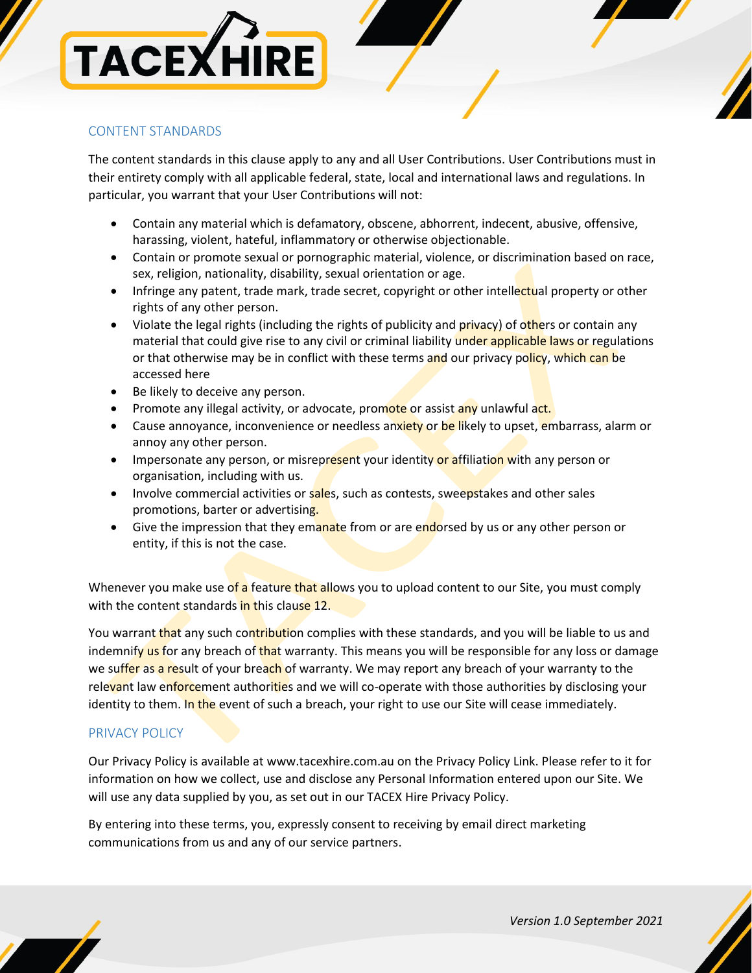# **TACEXHIRE**

# CONTENT STANDARDS

The content standards in this clause apply to any and all User Contributions. User Contributions must in their entirety comply with all applicable federal, state, local and international laws and regulations. In particular, you warrant that your User Contributions will not:

- Contain any material which is defamatory, obscene, abhorrent, indecent, abusive, offensive, harassing, violent, hateful, inflammatory or otherwise objectionable.
- Contain or promote sexual or pornographic material, violence, or discrimination based on race, sex, religion, nationality, disability, sexual orientation or age.
- Infringe any patent, trade mark, trade secret, copyright or other intellectual property or other rights of any other person.
- Violate the legal rights (including the rights of publicity and privacy) of others or contain any material that could give rise to any civil or criminal liability under applicable laws or regulations or that otherwise may be in conflict with these terms and our privacy policy, which can be accessed here
- Be likely to deceive any person.
- Promote any illegal activity, or advocate, promote or assist any unlawful act.
- Cause annoyance, inconvenience or needless anxiety or be likely to upset, embarrass, alarm or annoy any other person.
- Impersonate any person, or misrepresent your identity or affiliation with any person or organisation, including with us.
- Involve commercial activities or sales, such as contests, sweepstakes and other sales promotions, barter or advertising.
- Give the impression that they emanate from or are endorsed by us or any other person or entity, if this is not the case.

Whenever you make use of a feature that allows you to upload content to our Site, you must comply with the content standards in this clause 12.

You warrant that any such contribution complies with these standards, and you will be liable to us and indemnify us for any breach of that warranty. This means you will be responsible for any loss or damage we suffer as a result of your breach of warranty. We may report any breach of your warranty to the relevant law enforcement authorities and we will co-operate with those authorities by disclosing your identity to them. In the event of such a breach, your right to use our Site will cease immediately.

# PRIVACY POLICY

Our Privacy Policy is available at [www.tacexhire.com.au](http://www.tacexhire.com.au/) on the Privacy Policy Link. Please refer to it for information on how we collect, use and disclose any Personal Information entered upon our Site. We will use any data supplied by you, as set out in our TACEX Hire Privacy Policy.

By entering into these terms, you, expressly consent to receiving by email direct marketing communications from us and any of our service partners.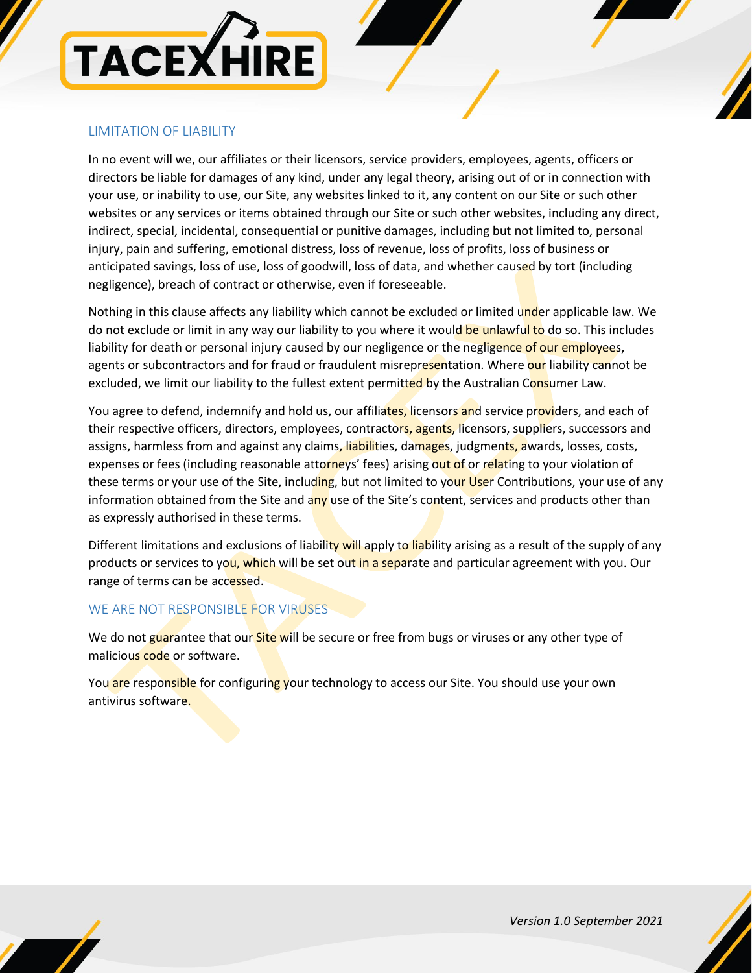

# LIMITATION OF LIABILITY

In no event will we, our affiliates or their licensors, service providers, employees, agents, officers or directors be liable for damages of any kind, under any legal theory, arising out of or in connection with your use, or inability to use, our Site, any websites linked to it, any content on our Site or such other websites or any services or items obtained through our Site or such other websites, including any direct, indirect, special, incidental, consequential or punitive damages, including but not limited to, personal injury, pain and suffering, emotional distress, loss of revenue, loss of profits, loss of business or anticipated savings, loss of use, loss of goodwill, loss of data, and whether caused by tort (including negligence), breach of contract or otherwise, even if foreseeable.

Nothing in this clause affects any liability which cannot be excluded or limited under applicable law. We do not exclude or limit in any way our liability to you where it would be unlawful to do so. This includes liability for death or personal injury caused by our negligence or the negligence of our employees, agents or subcontractors and for fraud or fraudulent misrepresentation. Where our liability cannot be excluded, we limit our liability to the fullest extent permitted by the Australian Consumer Law.

You agree to defend, indemnify and hold us, our affiliates, licensors and service providers, and each of their respective officers, directors, employees, contractors, agents, licensors, suppliers, successors and assigns, harmless from and against any claims, liabilities, damages, judgments, awards, losses, costs, expenses or fees (including reasonable attorneys' fees) arising out of or relating to your violation of these terms or your use of the Site, including, but not limited to your User Contributions, your use of any information obtained from the Site and any use of the Site's content, services and products other than as expressly authorised in these terms.

Different limitations and exclusions of liability will apply to liability arising as a result of the supply of any products or services to you, which will be set out in a separate and particular agreement with you. Our range of terms can be accessed.

# WE ARE NOT RESPONSIBLE FOR VIRUSES

We do not guarantee that our **Site will** be secure or free from bugs or viruses or any other type of malicious code or software.

You are responsible for configuring your technology to access our Site. You should use your own antivirus software.

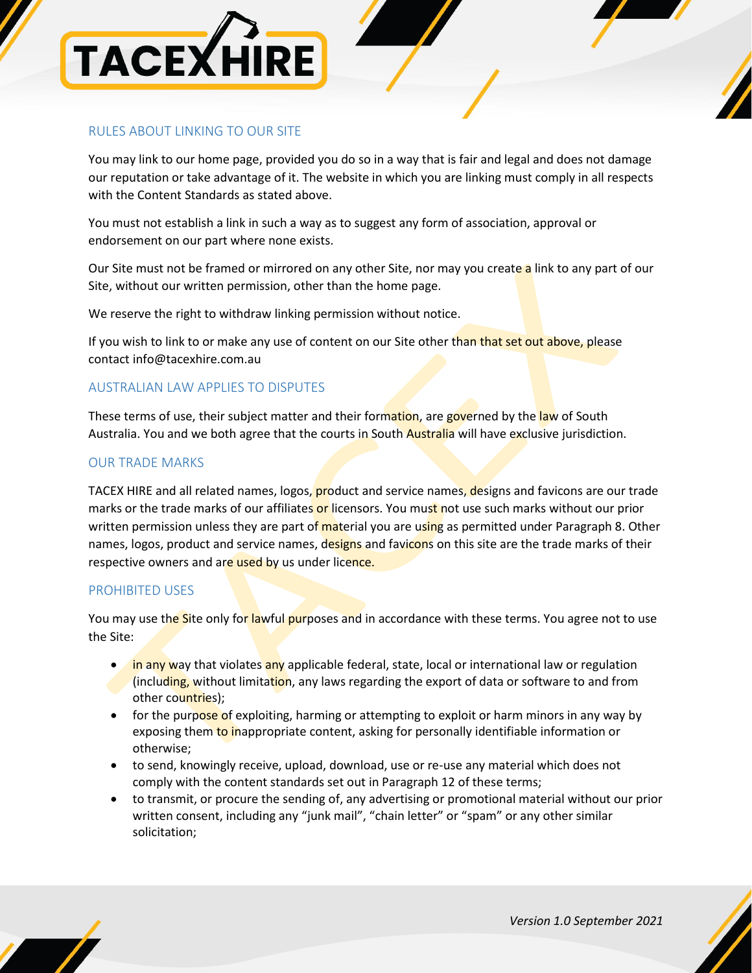

## RULES ABOUT LINKING TO OUR SITE

You may link to our home page, provided you do so in a way that is fair and legal and does not damage our reputation or take advantage of it. The website in which you are linking must comply in all respects with the Content Standards as stated above.

You must not establish a link in such a way as to suggest any form of association, approval or endorsement on our part where none exists.

Our Site must not be framed or mirrored on any other Site, nor may you create a link to any part of our Site, without our written permission, other than the home page.

We reserve the right to withdraw linking permission without notice.

If you wish to link to or make any use of content on our Site other than that set out above, please contact [info@tacexhire.com.au](mailto:info@tacexhire.com.au)

## AUSTRALIAN LAW APPLIES TO DISPUTES

These terms of use, their subject matter and their formation, are governed by the law of South Australia. You and we both agree that the courts in South Australia will have exclusive jurisdiction.

### OUR TRADE MARKS

TACEX HIRE and all related names, logos, product and service names, designs and favicons are our trade marks or the trade marks of our affiliates or licensors. You must not use such marks without our prior written permission unless they are part of material you are using as permitted under Paragraph 8. Other names, logos, product and service names, designs and favicons on this site are the trade marks of their respective owners and are used by us under licence.

### PROHIBITED USES

You may use the Site only for lawful purposes and in accordance with these terms. You agree not to use the Site:

- $\bullet$  in any way that violates any applicable federal, state, local or international law or regulation (including, without limitation, any laws regarding the export of data or software to and from other countries);
- for the purpose of exploiting, harming or attempting to exploit or harm minors in any way by exposing them to inappropriate content, asking for personally identifiable information or otherwise;
- to send, knowingly receive, upload, download, use or re-use any material which does not comply with the content standards set out in Paragraph 12 of these terms;
- to transmit, or procure the sending of, any advertising or promotional material without our prior written consent, including any "junk mail", "chain letter" or "spam" or any other similar solicitation;